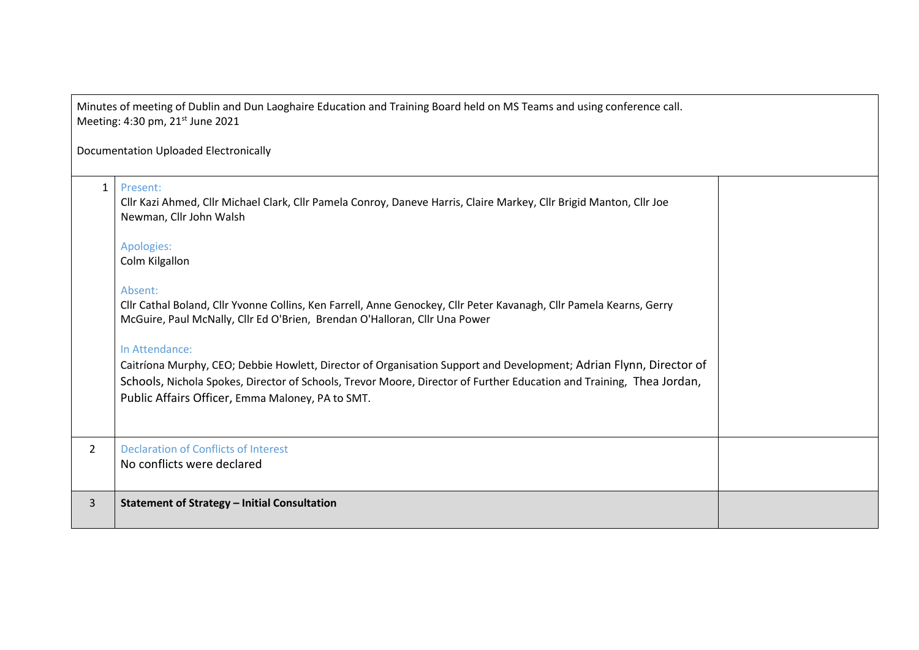| Minutes of meeting of Dublin and Dun Laoghaire Education and Training Board held on MS Teams and using conference call.<br>Meeting: 4:30 pm, 21 <sup>st</sup> June 2021 |                                                                                                                                                                                                                                                                                                                  |  |  |
|-------------------------------------------------------------------------------------------------------------------------------------------------------------------------|------------------------------------------------------------------------------------------------------------------------------------------------------------------------------------------------------------------------------------------------------------------------------------------------------------------|--|--|
| <b>Documentation Uploaded Electronically</b>                                                                                                                            |                                                                                                                                                                                                                                                                                                                  |  |  |
| $\mathbf{1}$                                                                                                                                                            | Present:<br>Cllr Kazi Ahmed, Cllr Michael Clark, Cllr Pamela Conroy, Daneve Harris, Claire Markey, Cllr Brigid Manton, Cllr Joe<br>Newman, Cllr John Walsh                                                                                                                                                       |  |  |
|                                                                                                                                                                         | Apologies:<br>Colm Kilgallon                                                                                                                                                                                                                                                                                     |  |  |
|                                                                                                                                                                         | Absent:<br>Cllr Cathal Boland, Cllr Yvonne Collins, Ken Farrell, Anne Genockey, Cllr Peter Kavanagh, Cllr Pamela Kearns, Gerry<br>McGuire, Paul McNally, Cllr Ed O'Brien, Brendan O'Halloran, Cllr Una Power                                                                                                     |  |  |
|                                                                                                                                                                         | In Attendance:<br>Caitríona Murphy, CEO; Debbie Howlett, Director of Organisation Support and Development; Adrian Flynn, Director of<br>Schools, Nichola Spokes, Director of Schools, Trevor Moore, Director of Further Education and Training, Thea Jordan,<br>Public Affairs Officer, Emma Maloney, PA to SMT. |  |  |
| $\overline{2}$                                                                                                                                                          | <b>Declaration of Conflicts of Interest</b><br>No conflicts were declared                                                                                                                                                                                                                                        |  |  |
| 3                                                                                                                                                                       | <b>Statement of Strategy - Initial Consultation</b>                                                                                                                                                                                                                                                              |  |  |